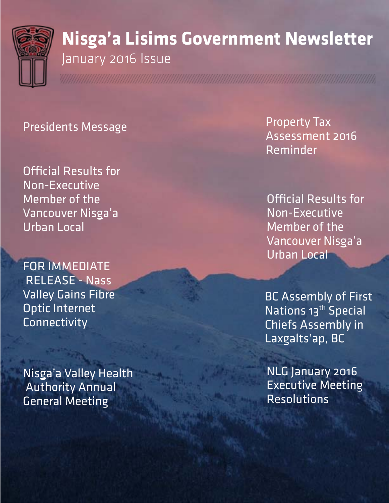

# **Nisga'a Lisims Government Newsletter**  January 2016 Issue

# Presidents Message

Official Results for Non-Executive Member of the Vancouver Nisga'a Urban Local

FOR IMMEDIATE RELEASE - Nass Valley Gains Fibre Optic Internet Connectivity

Nisga'a Valley Health Authority Annual General Meeting

Property Tax Assessment 2016 Reminder

Official Results for Non-Executive Member of the Vancouver Nisga'a Urban Local

BC Assembly of First Nations 13<sup>th</sup> Special Chiefs Assembly in Laxgalts'ap, BC

NLG January 2016 Executive Meeting Resolutions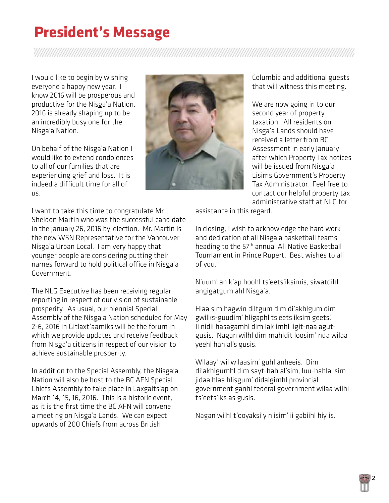# **President's Message**

I would like to begin by wishing everyone a happy new year. I know 2016 will be prosperous and productive for the Nisga'a Nation. 2016 is already shaping up to be an incredibly busy one for the Nisga'a Nation.

On behalf of the Nisga'a Nation I would like to extend condolences to all of our families that are experiencing grief and loss. It is indeed a difficult time for all of us.



The NLG Executive has been receiving regular reporting in respect of our vision of sustainable prosperity. As usual, our biennial Special Assembly of the Nisga'a Nation scheduled for May 2-6, 2016 in Gitlaxt'aamiks will be the forum in which we provide updates and receive feedback from Nisga'a citizens in respect of our vision to achieve sustainable prosperity.

In addition to the Special Assembly, the Nisga'a Nation will also be host to the BC AFN Special Chiefs Assembly to take place in Laxgalts'ap on March 14, 15, 16, 2016. This is a historic event, as it is the first time the BC AFN will convene a meeting on Nisga'a Lands. We can expect upwards of 200 Chiefs from across British



Columbia and additional guests that will witness this meeting.

We are now going in to our second year of property taxation. All residents on Nisga'a Lands should have received a letter from BC Assessment in early January after which Property Tax notices will be issued from Nisga'a Lisims Government's Property Tax Administrator. Feel free to contact our helpful property tax administrative staff at NLG for

assistance in this regard.

In closing, I wish to acknowledge the hard work and dedication of all Nisga'a basketball teams heading to the 57th annual All Native Basketball Tournament in Prince Rupert. Best wishes to all of you.

N'uum' an k'ap hoohl ts'eets'iksimis, siwatdihl angigatgum ahl Nisga'a.

Hlaa sim hagwin diltgum dim di'akhlgum dim gwilks-guudim' hligaphl ts'eets'iksim geets'. Ii nidii hasagamhl dim lak'imhl ligit-naa agutgusis. Nagan wilhl dim mahldit loosim' nda wilaa yeehl hahlal's gusis.

Wilaay' wil wilaasim' guhl anheeis. Dim di'akhlgumhl dim sayt-hahlal'sim, luu-hahlal'sim jidaa hlaa hlisgum' didalgimhl provincial government ganhl federal government wilaa wilhl ts'eets'iks as gusis.

Nagan wilhl t'ooyaksi'y n'isim' ii gabiihl hiy'is.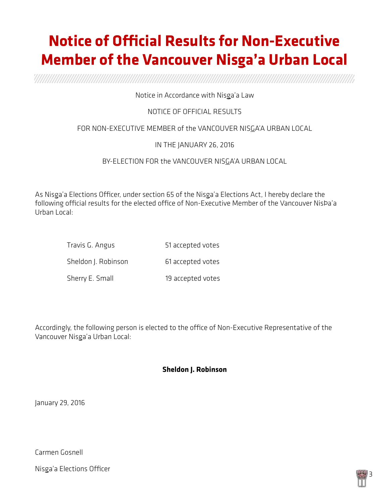# **Notice of Official Results for Non-Executive Member of the Vancouver Nisga'a Urban Local**

a a shekarar wasan wasan wasan wasan wasan wasan wasan wasan wasan wasan wasan wasan wasan wasan wasan wasan w

### Notice in Accordance with Nisga'a Law

## NOTICE OF OFFICIAL RESULTS

### FOR NON-EXECUTIVE MEMBER of the VANCOUVER NISGA'A URBAN LOCAL

### IN THE JANUARY 26, 2016

### BY-ELECTION FOR the VANCOUVER NISGA'A URBAN LOCAL

As Nisga'a Elections Officer, under section 65 of the Nisga'a Elections Act, I hereby declare the following official results for the elected office of Non-Executive Member of the Vancouver NisÞa'a Urban Local:

| Travis G. Angus     | 51 accepted votes |
|---------------------|-------------------|
| Sheldon J. Robinson | 61 accepted votes |
| Sherry E. Small     | 19 accepted votes |

Accordingly, the following person is elected to the office of Non-Executive Representative of the Vancouver Nisga'a Urban Local:

### **Sheldon J. Robinson**

January 29, 2016

Carmen Gosnell

Nisga'a Elections Officer

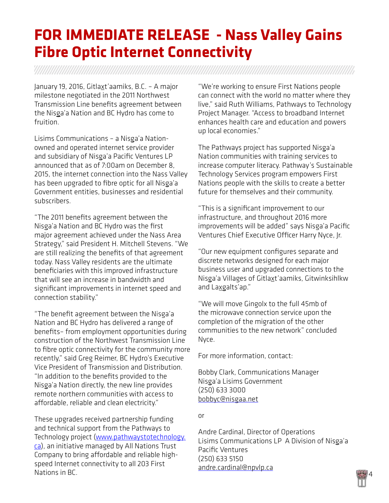# **FOR IMMEDIATE RELEASE - Nass Valley Gains Fibre Optic Internet Connectivity**

January 19, 2016, Gitlaxt'aamiks, B.C. – A major milestone negotiated in the 2011 Northwest Transmission Line benefits agreement between the Nisga'a Nation and BC Hydro has come to fruition.

Lisims Communications – a Nisga'a Nationowned and operated internet service provider and subsidiary of Nisga'a Pacific Ventures LP announced that as of 7:00am on December 8, 2015, the internet connection into the Nass Valley has been upgraded to fibre optic for all Nisga'a Government entities, businesses and residential subscribers.

"The 2011 benefits agreement between the Nisga'a Nation and BC Hydro was the first major agreement achieved under the Nass Area Strategy," said President H. Mitchell Stevens. "We are still realizing the benefits of that agreement today. Nass Valley residents are the ultimate beneficiaries with this improved infrastructure that will see an increase in bandwidth and significant improvements in internet speed and connection stability."

"The benefit agreement between the Nisga'a Nation and BC Hydro has delivered a range of benefits– from employment opportunities during construction of the Northwest Transmission Line to fibre optic connectivity for the community more recently," said Greg Reimer, BC Hydro's Executive Vice President of Transmission and Distribution. "In addition to the benefits provided to the Nisga'a Nation directly, the new line provides remote northern communities with access to affordable, reliable and clean electricity."

These upgrades received partnership funding and technical support from the Pathways to Technology project ([www.pathwaystotechnology.](http://www.pathwaystotechnology.ca/) [ca\)](http://www.pathwaystotechnology.ca/), an initiative managed by All Nations Trust Company to bring affordable and reliable highspeed Internet connectivity to all 203 First Nations in BC.

"We're working to ensure First Nations people can connect with the world no matter where they live," said Ruth Williams, Pathways to Technology Project Manager. "Access to broadband Internet enhances health care and education and powers up local economies."

The Pathways project has supported Nisga'a Nation communities with training services to increase computer literacy. Pathway's Sustainable Technology Services program empowers First Nations people with the skills to create a better future for themselves and their community.

"This is a significant improvement to our infrastructure, and throughout 2016 more improvements will be added" says Nisga'a Pacific Ventures Chief Executive Officer Harry Nyce, Jr.

"Our new equipment configures separate and discrete networks designed for each major business user and upgraded connections to the Nisga'a Villages of Gitlaxt'aamiks, Gitwinksihlkw and Laxgalts'ap."

"We will move Gingolx to the full 45mb of the microwave connection service upon the completion of the migration of the other communities to the new network" concluded Nyce.

For more information, contact:

Bobby Clark, Communications Manager Nisga'a Lisims Government (250) 633 3000 [bobbyc@nisgaa.net](mailto:bobbyc@nisgaa.net)

or

Andre Cardinal, Director of Operations Lisims Communications LP A Division of Nisga'a Pacific Ventures (250) 633 5150 [andre.cardinal@npvlp.ca](mailto:andre.cardinal@npvlp.ca)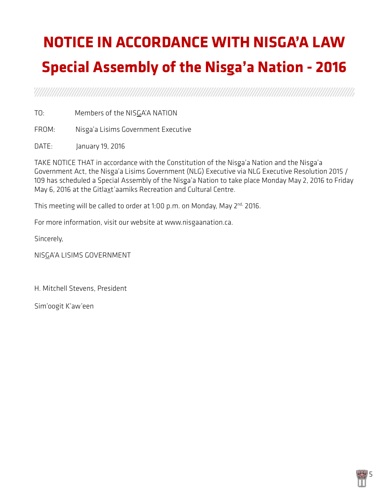# **NOTICE IN ACCORDANCE WITH NISGA'A LAW Special Assembly of the Nisga'a Nation - 2016**

a a shekarar wasan wasan wasan wasan wasan wasan wasan wasan wasan wasan wasan wasan wasan wasan wasan wasan w

TO: Members of the NISGA'A NATION

FROM: Nisga'a Lisims Government Executive

DATE: January 19, 2016

TAKE NOTICE THAT in accordance with the Constitution of the Nisga'a Nation and the Nisga'a Government Act, the Nisga'a Lisims Government (NLG) Executive via NLG Executive Resolution 2015 / 109 has scheduled a Special Assembly of the Nisga'a Nation to take place Monday May 2, 2016 to Friday May 6, 2016 at the Gitlaxt'aamiks Recreation and Cultural Centre.

This meeting will be called to order at 1:00 p.m. on Monday, May 2<sup>nd,</sup> 2016.

For more information, visit our website at [www.nisgaanation.ca](http://www.nisgaanation.ca/).

Sincerely,

NISGA'A LISIMS GOVERNMENT

H. Mitchell Stevens, President

Sim'oogit K'aw'een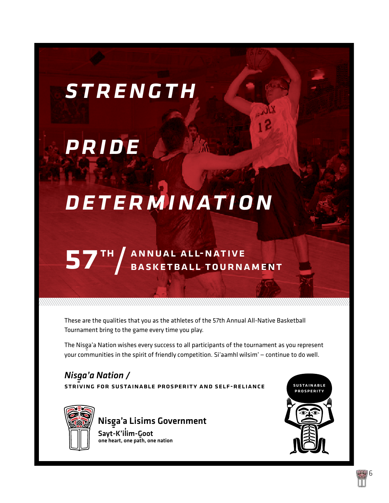# *strength*

# *pride*

# *determination*

# 57 TH ANNUAL ALL-NATIVE<br>
BASKETBALL TOURNAMENT

These are the qualities that you as the athletes of the 57th Annual All-Native Basketball Tournament bring to the game every time you play.

The Nisga'a Nation wishes every success to all participants of the tournament as you represent your communities in the spirit of friendly competition. Si'aamhl wilsim' — continue to do well.

*Nisga'a Nation /*<br><u>staiving son sust</u>a STRIVING FOR SUSTAINABLE PROSPERITY AND SELF-RELIANCE SUSTAINABLE



Nisga'a Lisims Government<br>Santawit a Sant Sayt-K'ilim-Goot<br>one heart, one nath, on one heart, one path, one nation



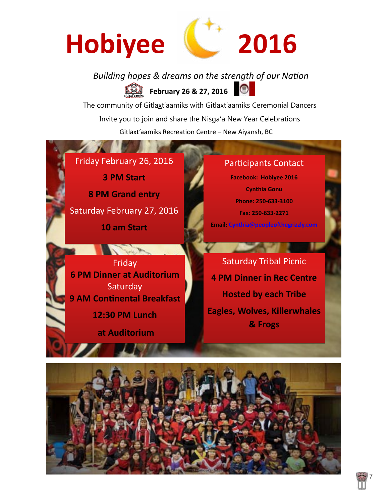

## *Building hopes & dreams on the strength of our Nation* **February 26 & 27, 2016**  $\bigcirc$

The community of Gitlaxt'aamiks with Gitlaxt'aamiks Ceremonial Dancers Invite you to join and share the Nisga'a New Year Celebrations Gitlaxt'aamiks Recreation Centre – New Aiyansh, BC

Friday February 26, 2016 **3 PM Start 8 PM Grand entry** Saturday February 27, 2016

**10 am Start**

And I

Friday **6 PM Dinner at Auditorium Saturday 9 AM Continental Breakfast** 

**12:30 PM Lunch**

**at Auditorium**

# Participants Contact

**Facebook: Hobiyee 2016 Cynthia Gonu Phone: 250-633-3100 Fax: 250-633-2271 Email: Cynthia@peopleofthegrizzly.com**

Saturday Tribal Picnic **4 PM Dinner in Rec Centre Hosted by each Tribe Eagles, Wolves, Killerwhales & Frogs**

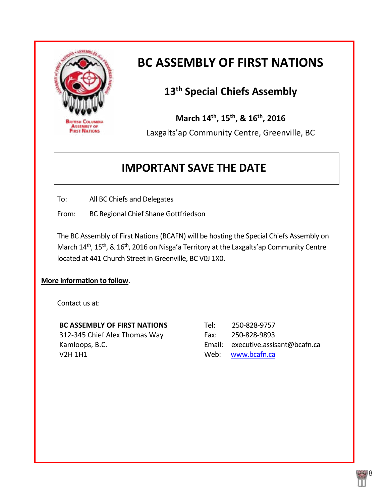

# **BC ASSEMBLY OF FIRST NATIONS**

# **13th Special Chiefs Assembly**

**March 14th, 15th, & 16th, 2016**

Laxgalts'ap Community Centre, Greenville, BC

# **IMPORTANT SAVE THE DATE**

To: All BC Chiefs and Delegates

From: BC Regional Chief Shane Gottfriedson

The BC Assembly of First Nations(BCAFN) will be hosting the Special Chiefs Assembly on March 14<sup>th</sup>, 15<sup>th</sup>, & 16<sup>th</sup>, 2016 on Nisga'a Territory at the Laxgalts'ap Community Centre located at 441 Church Street in Greenville, BC V0J 1X0.

## **More information to follow**.

Contact us at:

| <b>BC ASSEMBLY OF FIRST NATIONS</b> | Tel: | 250-828-9757                       |
|-------------------------------------|------|------------------------------------|
| 312-345 Chief Alex Thomas Way       | Fax: | 250-828-9893                       |
| Kamloops, B.C.                      |      | Email: executive.assisant@bcafn.ca |
| V2H 1H1                             |      | Web: www.bcafn.ca                  |

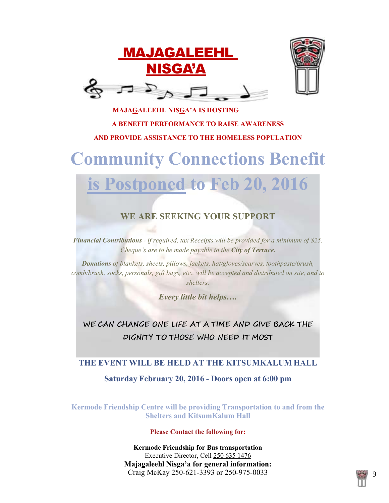



# **MAJAGALEEHL NISGA'A IS HOSTING A BENEFIT PERFORMANCE TO RAISE AWARENESS AND PROVIDE ASSISTANCE TO THE HOMELESS POPULATION**

# **Community Connections Benefit**

# **is Postponed to Feb 20, 2016**

# **WE ARE SEEKING YOUR SUPPORT**

*Financial Contributions - if required, tax Receipts will be provided for a minimum of \$25. Cheque's are to be made payable to the City of Terrace.*

*Donations of blankets, sheets, pillows, jackets, hat/gloves/scarves, toothpaste/brush, comb/brush, socks, personals, gift bags, etc.. will be accepted and distributed on site, and to shelters.*

*Every little bit helps….*

**WE CAN CHANGE ONE LIFE AT A TIME AND GIVE BACK THE DIGNITY TO THOSE WHO NEED IT MOST**

# **THE EVENT WILL BE HELD AT THE KITSUMKALUM HALL Saturday February 20, 2016 - Doors open at 6:00 pm**

**Kermode Friendship Centre will be providing Transportation to and from the Shelters and KitsumKalum Hall**

### **Please Contact the following for:**

**Kermode Friendship for Bus transportation** Executive Director, Cell 250 635 1476 **Majagaleehl Nisga'a for general information:** Craig McKay 250-621-3393 or 250-975-0033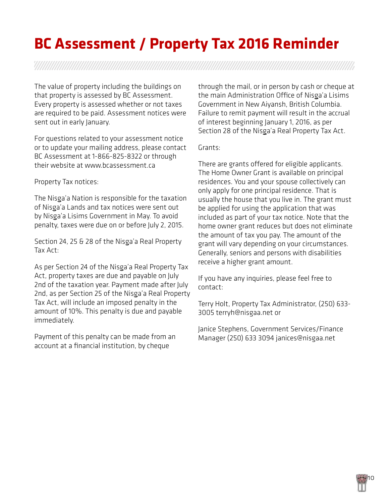# **BC Assessment / Property Tax 2016 Reminder**

The value of property including the buildings on that property is assessed by BC Assessment. Every property is assessed whether or not taxes are required to be paid. Assessment notices were sent out in early January.

For questions related to your assessment notice or to update your mailing address, please contact BC Assessment at 1-866-825-8322 or through their website at [www.bcassessment.ca](http://www.bcassessment.ca/) 

Property Tax notices:

The Nisga'a Nation is responsible for the taxation of Nisga'a Lands and tax notices were sent out by Nisga'a Lisims Government in May. To avoid penalty, taxes were due on or before July 2, 2015.

Section 24, 25 & 28 of the Nisga'a Real Property Tax Act:

As per Section 24 of the Nisga'a Real Property Tax Act, property taxes are due and payable on July 2nd of the taxation year. Payment made after July 2nd, as per Section 25 of the Nisga'a Real Property Tax Act, will include an imposed penalty in the amount of 10%. This penalty is due and payable immediately.

Payment of this penalty can be made from an account at a financial institution, by cheque

through the mail, or in person by cash or cheque at the main Administration Office of Nisga'a Lisims Government in New Aiyansh, British Columbia. Failure to remit payment will result in the accrual of interest beginning January 1, 2016, as per Section 28 of the Nisga'a Real Property Tax Act.

Grants:

There are grants offered for eligible applicants. The Home Owner Grant is available on principal residences. You and your spouse collectively can only apply for one principal residence. That is usually the house that you live in. The grant must be applied for using the application that was included as part of your tax notice. Note that the home owner grant reduces but does not eliminate the amount of tax you pay. The amount of the grant will vary depending on your circumstances. Generally, seniors and persons with disabilities receive a higher grant amount.

If you have any inquiries, please feel free to contact:

Terry Holt, Property Tax Administrator, (250) 633- 3005 [terryh@nisgaa.net](mailto:terryh@nisgaa.net) or

Janice Stephens, Government Services/Finance Manager (250) 633 3094 [janices@nisgaa.net](mailto:janices@nisgaa.net) 

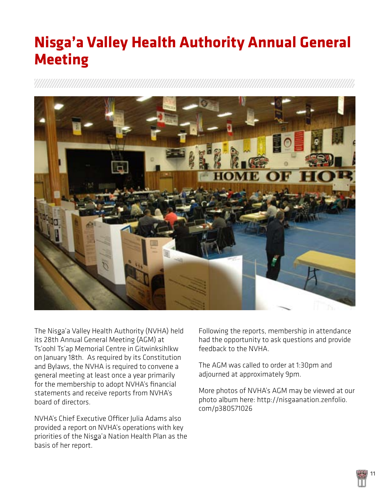# **Nisga'a Valley Health Authority Annual General Meeting**



The Nisga'a Valley Health Authority (NVHA) held its 28th Annual General Meeting (AGM) at Ts'oohl Ts'ap Memorial Centre in Gitwinksihlkw on January 18th. As required by its Constitution and Bylaws, the NVHA is required to convene a general meeting at least once a year primarily for the membership to adopt NVHA's financial statements and receive reports from NVHA's board of directors.

NVHA's Chief Executive Officer Julia Adams also provided a report on NVHA's operations with key priorities of the Nisga'a Nation Health Plan as the basis of her report.

Following the reports, membership in attendance had the opportunity to ask questions and provide feedback to the NVHA.

The AGM was called to order at 1:30pm and adjourned at approximately 9pm.

More photos of NVHA's AGM may be viewed at our photo album here: [http://nisgaanation.zenfolio.](http://nisgaanation.zenfolio.com/p380571026) [com/p380571026](http://nisgaanation.zenfolio.com/p380571026)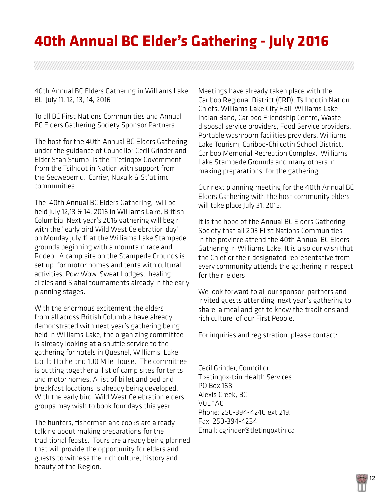# **40th Annual BC Elder's Gathering - July 2016**

a shekarar wasan wasan wasan wasan wasan wasan wasan wasan wasan wasan wasan wasan wasan wasan wasa

40th Annual BC Elders Gathering in Williams Lake, BC July 11, 12, 13, 14, 2016

To all BC First Nations Communities and Annual BC Elders Gathering Society Sponsor Partners

The host for the 40th Annual BC Elders Gathering under the guidance of Councillor Cecil Grinder and Elder Stan Stump is the Tl'etinqox Government from the Tsilhqot'in Nation with support from the Secwepemc, Carrier, Nuxalk & St'át'imc communities.

The 40th Annual BC Elders Gathering, will be held July 12,13 & 14, 2016 in Williams Lake, British Columbia. Next year's 2016 gathering will begin with the "early bird Wild West Celebration day" on Monday July 11 at the Williams Lake Stampede grounds beginning with a mountain race and Rodeo. A camp site on the Stampede Grounds is set up for motor homes and tents with cultural activities, Pow Wow, Sweat Lodges, healing circles and Slahal tournaments already in the early planning stages.

With the enormous excitement the elders from all across British Columbia have already demonstrated with next year's gathering being held in Williams Lake, the organizing committee is already looking at a shuttle service to the gathering for hotels in Quesnel, Williams Lake, Lac la Hache and 100 Mile House. The committee is putting together a list of camp sites for tents and motor homes. A list of billet and bed and breakfast locations is already being developed. With the early bird Wild West Celebration elders groups may wish to book four days this year.

The hunters, fisherman and cooks are already talking about making preparations for the traditional feasts. Tours are already being planned that will provide the opportunity for elders and guests to witness the rich culture, history and beauty of the Region.

Meetings have already taken place with the Cariboo Regional District (CRD), Tsilhqotin Nation Chiefs, Williams Lake City Hall, Williams Lake Indian Band, Cariboo Friendship Centre, Waste disposal service providers, Food Service providers, Portable washroom facilities providers, Williams Lake Tourism, Cariboo-Chilcotin School District, Cariboo Memorial Recreation Complex, Williams Lake Stampede Grounds and many others in making preparations for the gathering.

Our next planning meeting for the 40th Annual BC Elders Gathering with the host community elders will take place July 31, 2015.

It is the hope of the Annual BC Elders Gathering Society that all 203 First Nations Communities in the province attend the 40th Annual BC Elders Gathering in Williams Lake. It is also our wish that the Chief or their designated representative from every community attends the gathering in respect for their elders.

We look forward to all our sponsor partners and invited guests attending next year's gathering to share a meal and get to know the traditions and rich culture of our First People.

For inquiries and registration, please contact:

Cecil Grinder, Councillor Tl›etinqox-t›in Health Services PO Box 168 Alexis Creek, BC V0L 1A0 Phone: 250-394-4240 ext 219. Fax: 250-394-4234. Email: [cgrinder@tletinqoxtin.ca](mailto:cgrinder@tletinqoxtin.ca)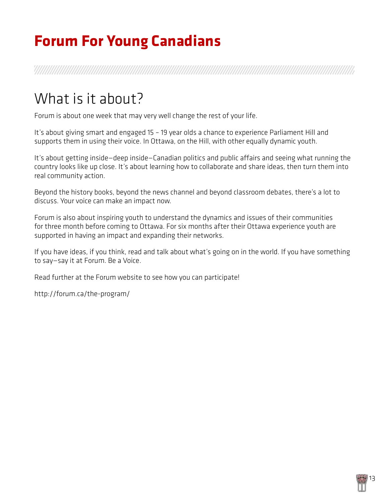# **Forum For Young Canadians**

# What is it about?

Forum is about one week that may very well change the rest of your life.

It's about giving smart and engaged 15 – 19 year olds a chance to experience Parliament Hill and supports them in using their voice. In Ottawa, on the Hill, with other equally dynamic youth.

It's about getting inside—deep inside—Canadian politics and public affairs and seeing what running the country looks like up close. It's about learning how to collaborate and share ideas, then turn them into real community action.

Beyond the history books, beyond the news channel and beyond classroom debates, there's a lot to discuss. Your voice can make an impact now.

Forum is also about inspiring youth to understand the dynamics and issues of their communities for three month before coming to Ottawa. For six months after their Ottawa experience youth are supported in having an impact and expanding their networks.

If you have ideas, if you think, read and talk about what's going on in the world. If you have something to say—say it at Forum. Be a Voice.

Read further at the Forum website to see how you can participate!

<http://forum.ca/the-program/>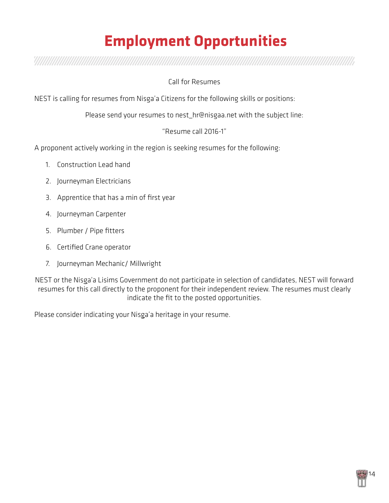# **Employment Opportunities**

a shekarar wasan wasan wasan wasan wasan wasan wasan wasan wasan wasan wasan wasan wasan wasan wasa

### Call for Resumes

NEST is calling for resumes from Nisga'a Citizens for the following skills or positions:

Please send your resumes to [nest\\_hr@nisgaa.net](mailto:nest_hr@nisgaa.net) with the subject line:

### "Resume call 2016-1"

A proponent actively working in the region is seeking resumes for the following:

- 1. Construction Lead hand
- 2. Journeyman Electricians
- 3. Apprentice that has a min of first year
- 4. Journeyman Carpenter
- 5. Plumber / Pipe fitters
- 6. Certified Crane operator
- 7. Journeyman Mechanic/ Millwright

NEST or the Nisga'a Lisims Government do not participate in selection of candidates, NEST will forward resumes for this call directly to the proponent for their independent review. The resumes must clearly indicate the fit to the posted opportunities.

14

Please consider indicating your Nisga'a heritage in your resume.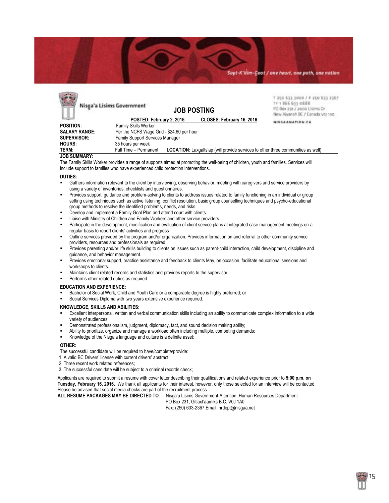#### Sayt-K'ilim-Çaat / one heart, one path, one nation



#### **JOB SUMMARY:**

The Family Skills Worker provides a range of supports aimed at promoting the well-being of children, youth and families. Services will include support to families who have experienced child protection interventions.

#### **DUTIES:**

- Gathers information relevant to the client by interviewing, observing behavior, meeting with caregivers and service providers by using a variety of inventories, checklists and questionnaires.
- Provides support, guidance and problem-solving to clients to address issues related to family functioning in an individual or group setting using techniques such as active listening, conflict resolution, basic group counselling techniques and psycho-educational group methods to resolve the identified problems, needs, and risks.
- Develop and implement a Family Goal Plan and attend court with clients.
- Liaise with Ministry of Children and Family Workers and other service providers.
- Participate in the development, modification and evaluation of client service plans at integrated case management meetings on a regular basis to report clients' activities and progress
- Outline services provided by the program and/or organization. Provides information on and referral to other community service providers, resources and professionals as required.
- Provides parenting and/or life skills building to clients on issues such as parent-child interaction, child development, discipline and guidance, and behavior management.
- Provides emotional support, practice assistance and feedback to clients May, on occasion, facilitate educational sessions and workshops to clients.
- Maintains client related records and statistics and provides reports to the supervisor.
- Performs other related duties as required.

#### **EDUCATION AND EXPERIENCE:**

- Bachelor of Social Work, Child and Youth Care or a comparable degree is highly preferred; or
- Social Services Diploma with two years extensive experience required.

#### **KNOWLEDGE, SKILLS AND ABILITIES:**

- Excellent interpersonal, written and verbal communication skills including an ability to communicate complex information to a wide variety of audiences;
- Demonstrated professionalism, judgment, diplomacy, tact, and sound decision making ability;
- Ability to prioritize, organize and manage a workload often including multiple, competing demands;
- Knowledge of the Nisga'a language and culture is a definite asset;

#### **OTHER:**

The successful candidate will be required to have/complete/provide:

- 1. A valid BC Drivers' license with current drivers' abstract
- 2. Three recent work related references;
- 3. The successful candidate will be subject to a criminal records check;

Applicants are required to submit a resume with cover letter describing their qualifications and related experience prior to **5:00 p.m. on Tuesday, February 16, 2016.** We thank all applicants for their interest, however, only those selected for an interview will be contacted. Please be advised that social media checks are part of the recruitment process.

**ALL RESUME PACKAGES MAY BE DIRECTED TO**: Nisga'a Lisims Government-Attention: Human Resources Department PO Box 231, Gitlaxt'aamiks B.C. V0J 1A0

Fax: (250) 633-2367 Email: hrdept@nisgaa.net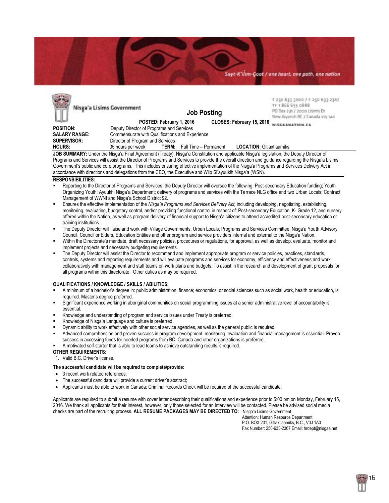Sayt-K'ilim-Coot / one heart, one path, one nation

| Nisga'a Lisims Government |                                                 |                          | <b>Job Posting</b>    | T 250 633 3000 / F 250 633 2367<br>TF 1.866.63% GB88<br>PO Box 231 / 2000 Lisims Dr<br>New Aiyamh BC / Canada voj 1A0 |                                                                                                                                                 |  |  |
|---------------------------|-------------------------------------------------|--------------------------|-----------------------|-----------------------------------------------------------------------------------------------------------------------|-------------------------------------------------------------------------------------------------------------------------------------------------|--|--|
|                           |                                                 | POSTED: February 1, 2016 |                       | CLOSES: February 15, 2016                                                                                             | NISCANNATION CA                                                                                                                                 |  |  |
| <b>POSITION:</b>          | Deputy Director of Programs and Services        |                          |                       |                                                                                                                       |                                                                                                                                                 |  |  |
| <b>SALARY RANGE:</b>      | Commensurate with Qualifications and Experience |                          |                       |                                                                                                                       |                                                                                                                                                 |  |  |
| <b>SUPERVISOR:</b>        | Director of Program and Services                |                          |                       |                                                                                                                       |                                                                                                                                                 |  |  |
| <b>HOURS:</b>             | 35 hours per week                               | <b>TERM:</b>             | Full Time - Permanent | <b>LOCATION: Gitlaxt'aamiks</b>                                                                                       |                                                                                                                                                 |  |  |
|                           |                                                 |                          |                       |                                                                                                                       | <b>IOD CUBBBADY</b> Under the Nicagio Final Agreement (Treaty), Nicagio Constitution and applicable Nicagio Icoiolation, the Deputy Director of |  |  |

**JOB SUMMARY:** Under the Nisga'a Final Agreement (Treaty), Nisga'a Constitution and applicable Nisga'a legislation, the Deputy Director of Programs and Services will assist the Director of Programs and Services to provide the overall direction and guidance regarding the Nisga'a Lisims Government's public and core programs. This includes ensuring effective implementation of the Nisga'a Programs and Services Delivery Act in accordance with directions and delegations from the CEO, the Executive and Wilp Si'ayuuklh Nisga'a (WSN).

#### **RESPONSIBILITIES:**

**Call British** 

- Reporting to the Director of Programs and Services, the Deputy Director will oversee the following: Post-secondary Education funding; Youth Organizing Youth; Ayuukhl Nisga'a Department; delivery of programs and services with the Terrace NLG office and two Urban Locals; Contract Management of WWNI and Nisga'a School District 92.
- Ensures the effective implementation of the *Nisga'a Programs and Services Delivery Act,* including developing, negotiating, establishing, monitoring, evaluating, budgetary control, and/or providing functional control in respect of: Post-secondary Education, K- Grade 12, and nursery offered within the Nation, as well as program delivery of financial support to Nisga'a citizens to attend accredited post-secondary education or training institutions.
- The Deputy Director will liaise and work with Village Governments, Urban Locals, Programs and Services Committee, Nisga'a Youth Advisory Council, Council or Elders, Education Entities and other program and service providers internal and external to the Nisga'a Nation.
- Within the Directorate's mandate, draft necessary policies, procedures or regulations, for approval, as well as develop, evaluate, monitor and implement projects and necessary budgeting requirements.
- The Deputy Director will assist the Director to recommend and implement appropriate program or service policies, practices, standards, controls, systems and reporting requirements and will evaluate programs and services for economy, efficiency and effectiveness and work collaboratively with management and staff teams on work plans and budgets. To assist in the research and development of grant proposals for all programs within this directorate Other duties as may be required.

#### **QUALIFICATIONS / KNOWLEDGE / SKILLS / ABILITIES:**

- A minimum of a bachelor's degree in: public administration; finance; economics; or social sciences such as social work, health or education, is required. Master's degree preferred.
- Significant experience working in aboriginal communities on social programming issues at a senior administrative level of accountability is essential.
- Knowledge and understanding of program and service issues under Treaty is preferred.
- Knowledge of Nisga'a Language and culture is preferred.
- Dynamic ability to work effectively with other social service agencies, as well as the general public is required.
- Advanced comprehension and proven success in program development, monitoring, evaluation and financial management is essential. Proven success in accessing funds for needed programs from BC, Canada and other organizations is preferred.
- A motivated self-starter that is able to lead teams to achieve outstanding results is required.

#### **OTHER REQUIREMENTS:**

1. Valid B.C. Driver's license.

#### **The successful candidate will be required to complete/provide:**

- 3 recent work related references;
- The successful candidate will provide a current driver's abstract;
- Applicants must be able to work in Canada; Criminal Records Check will be required of the successful candidate.

Applicants are required to submit a resume with cover letter describing their qualifications and experience prior to 5:00 pm on Monday, February 15, 2016. We thank all applicants for their interest, however, only those selected for an interview will be contacted. Please be advised social media checks are part of the recruiting process. **ALL RESUME PACKAGES MAY BE DIRECTED TO:** Nisga'a Lisims Government

 Attention: Human Resource Department P.O. BOX 231, Gitlaxt'aamiks, B.C., V0J 1A0 Fax Number: 250-633-2367 Email: hrdept@nisgaa.net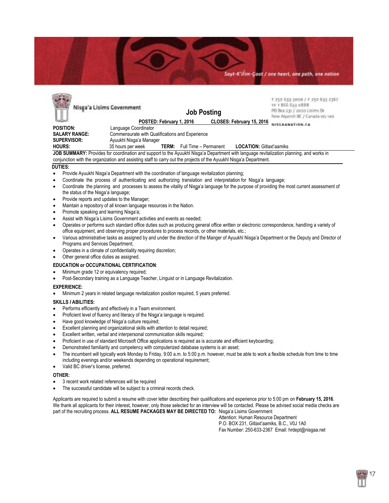

| Nisga'a Lisims Government                                                                                          |                                                 | <b>Job Posting</b>       |                                    |  | T 250 633 3000 / F 250 633 2367<br>1F 1866 611 0888<br>PO Box 231 / 2000 Lisims Dr<br>New Alvansh BC / Canada voi sao |                                                                                                                                          |  |
|--------------------------------------------------------------------------------------------------------------------|-------------------------------------------------|--------------------------|------------------------------------|--|-----------------------------------------------------------------------------------------------------------------------|------------------------------------------------------------------------------------------------------------------------------------------|--|
|                                                                                                                    |                                                 | POSTED: February 1, 2016 |                                    |  | CLOSES: February 15, 2016                                                                                             |                                                                                                                                          |  |
| <b>POSITION:</b>                                                                                                   | Language Coordinator                            |                          |                                    |  |                                                                                                                       |                                                                                                                                          |  |
| <b>SALARY RANGE:</b>                                                                                               | Commensurate with Qualifications and Experience |                          |                                    |  |                                                                                                                       |                                                                                                                                          |  |
| SUPERVISOR:                                                                                                        | Ayuukhl Nisga'a Manager                         |                          |                                    |  |                                                                                                                       |                                                                                                                                          |  |
| <b>HOURS:</b>                                                                                                      | 35 hours per week                               |                          | <b>TERM:</b> Full Time - Permanent |  | <b>LOCATION: Gitlaxt'aamiks</b>                                                                                       |                                                                                                                                          |  |
|                                                                                                                    |                                                 |                          |                                    |  |                                                                                                                       | JOB SUMMARY: Provides for coordination and support to the Ayuukhi Nisga'a Department with language revitalization planning, and works in |  |
| conjunction with the organization and assisting staff to carry out the projects of the Ayuukhl Nisga'a Department. |                                                 |                          |                                    |  |                                                                                                                       |                                                                                                                                          |  |

#### **DUTIES:**

**CORPORATION** 

- Provide Ayuukhl Nisga'a Department with the coordination of language revitalization planning;
- Coordinate the process of authenticating and authorizing translation and interpretation for Nisg̱a'a language;
- Coordinate the planning and processes to assess the vitality of Nisga'a language for the purpose of providing the most current assessment of the status of the Nisga'a language;
- Provide reports and updates to the Manager;
- Maintain a repository of all known language resources in the Nation.
- Promote speaking and learning Nisga'a;
- Assist with Nisga'a Lisims Government activities and events as needed;
- Operates or performs such standard office duties such as producing general office written or electronic correspondence, handling a variety of office equipment, and observing proper procedures to process records, or other materials, etc.;
- Various administrative tasks as assigned by and under the direction of the Manger of Ayuukhl Nisga'a Department or the Deputy and Director of Programs and Services Department;
- Operates in a climate of confidentiality requiring discretion;
- Other general office duties as assigned.

#### **EDUCATION or OCCUPATIONAL CERTIFICATION**:

- Minimum grade 12 or equivalency required;
- Post-Secondary training as a Language Teacher, Linguist or in Language Revitalization.

#### **EXPERIENCE:**

Minimum 2 years in related language revitalization position required, 5 years preferred.

#### **SKILLS** *I* **ABILITIES:**

- Performs efficiently and effectively in a Team environment.
- Proficient level of fluency and literacy of the Nisga'a language is required.
- Have good knowledge of Nisga'a culture required;
- Excellent planning and organizational skills with attention to detail required;
- Excellent written, verbal and interpersonal communication skills required;
- Proficient in use of standard Microsoft Office applications is required as is accurate and efficient keyboarding;
- Demonstrated familiarity and competency with computerized database systems is an asset;
- The incumbent will typically work Monday to Friday, 9:00 a.m. to 5:00 p.m. however, must be able to work a flexible schedule from time to time including evenings and/or weekends depending on operational requirement;
- Valid BC driver's license, preferred.

#### **OTHER:**

- 3 recent work related references will be required
- The successful candidate will be subject to a criminal records check.

Applicants are required to submit a resume with cover letter describing their qualifications and experience prior to 5:00 pm on **February 15, 2016**. We thank all applicants for their interest, however, only those selected for an interview will be contacted. Please be advised social media checks are part of the recruiting process. **ALL RESUME PACKAGES MAY BE DIRECTED TO:** Nisga'a Lisims Government

Attention: Human Resource Department P.O. BOX 231, Gitlaxt'aamiks, B.C., V0J 1A0 Fax Number: 250-633-2367 Email: hrdept@nisgaa.net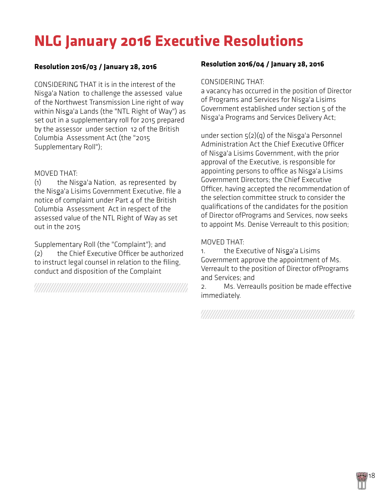# **NLG January 2016 Executive Resolutions**

### **Resolution 2016/03 / January 28, 2016**

CONSIDERING THAT it is in the interest of the Nisga'a Nation to challenge the assessed value of the Northwest Transmission Line right of way within Nisga'a Lands (the "NTL Right of Way") as set out in a supplementary roll for 2015 prepared by the assessor under section 12 of the British Columbia Assessment Act (the "2015 Supplementary Roll");

### MOVED THAT:

(1) the Nisga'a Nation, as represented by the Nisga'a Lisims Government Executive, file a notice of complaint under Part 4 of the British Columbia Assessment Act in respect of the assessed value of the NTL Right of Way as set out in the 2015

Supplementary Roll (the "Complaint"); and (2) the Chief Executive Officer be authorized to instruct legal counsel in relation to the filing, conduct and disposition of the Complaint

### **Resolution 2016/04 / January 28, 2016**

#### CONSIDERING THAT:

a vacancy has occurred in the position of Director of Programs and Services for Nisga'a Lisims Government established under section 5 of the Nisga'a Programs and Services Delivery Act;

under section 5(2)(q) of the Nisga'a Personnel Administration Act the Chief Executive Officer of Nisga'a Lisims Government, with the prior approval of the Executive, is responsible for appointing persons to office as Nisga'a Lisims Government Directors; the Chief Executive Officer, having accepted the recommendation of the selection committee struck to consider the qualifications of the candidates for the position of Director ofPrograms and Services, now seeks to appoint Ms. Denise Verreault to this position;

### MOVED THAT:

1. the Executive of Nisga'a Lisims Government approve the appointment of Ms. Verreault to the position of Director ofPrograms and Services; and

2. Ms. Verreaulls position be made effective immediately.